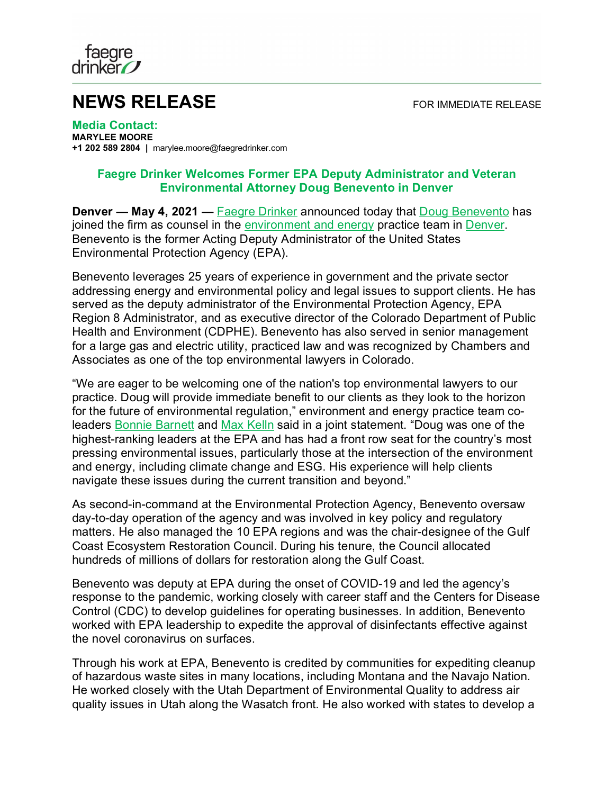

## **NEWS RELEASE** FOR IMMEDIATE RELEASE

**Media Contact: MARYLEE MOORE +1 202 589 2804 |** marylee.moore@faegredrinker.com

## **Faegre Drinker Welcomes Former EPA Deputy Administrator and Veteran Environmental Attorney Doug Benevento in Denver**

**Denver — May 4, 2021 —** [Faegre Drinker](https://www.faegredrinker.com/) announced today that [Doug Benevento](https://www.faegredrinker.com/en/professionals/b/benevento-douglas#!) has joined the firm as counsel in the [environment and energy](https://www.faegredrinker.com/en/services/services/environment-and-energy#!) practice team in [Denver.](https://www.faegredrinker.com/en/locations/denver#!) Benevento is the former Acting Deputy Administrator of the United States Environmental Protection Agency (EPA).

Benevento leverages 25 years of experience in government and the private sector addressing energy and environmental policy and legal issues to support clients. He has served as the deputy administrator of the Environmental Protection Agency, EPA Region 8 Administrator, and as executive director of the Colorado Department of Public Health and Environment (CDPHE). Benevento has also served in senior management for a large gas and electric utility, practiced law and was recognized by Chambers and Associates as one of the top environmental lawyers in Colorado.

"We are eager to be welcoming one of the nation's top environmental lawyers to our practice. Doug will provide immediate benefit to our clients as they look to the horizon for the future of environmental regulation," environment and energy practice team coleaders [Bonnie Barnett](https://www.faegredrinker.com/en/professionals/b/barnett-bonnie-allyn#!) and [Max Kelln](https://www.faegredrinker.com/en/professionals/k/kelln-h-max#!) said in a joint statement. "Doug was one of the highest-ranking leaders at the EPA and has had a front row seat for the country's most pressing environmental issues, particularly those at the intersection of the environment and energy, including climate change and ESG. His experience will help clients navigate these issues during the current transition and beyond."

As second-in-command at the Environmental Protection Agency, Benevento oversaw day-to-day operation of the agency and was involved in key policy and regulatory matters. He also managed the 10 EPA regions and was the chair-designee of the Gulf Coast Ecosystem Restoration Council. During his tenure, the Council allocated hundreds of millions of dollars for restoration along the Gulf Coast.

Benevento was deputy at EPA during the onset of COVID-19 and led the agency's response to the pandemic, working closely with career staff and the Centers for Disease Control (CDC) to develop guidelines for operating businesses. In addition, Benevento worked with EPA leadership to expedite the approval of disinfectants effective against the novel coronavirus on surfaces.

Through his work at EPA, Benevento is credited by communities for expediting cleanup of hazardous waste sites in many locations, including Montana and the Navajo Nation. He worked closely with the Utah Department of Environmental Quality to address air quality issues in Utah along the Wasatch front. He also worked with states to develop a